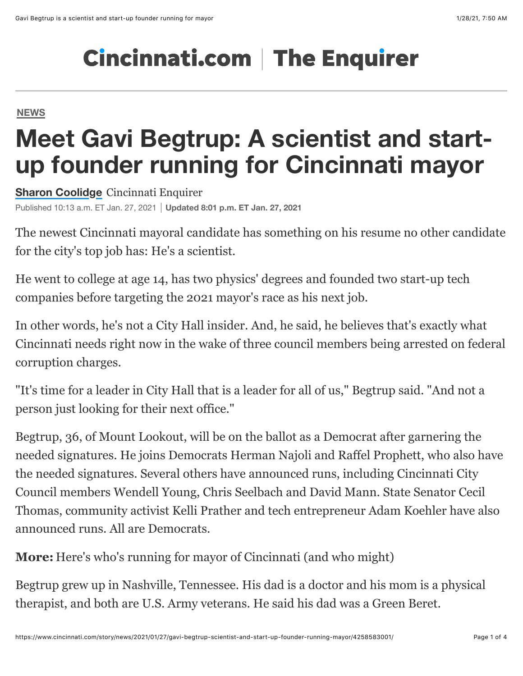## **Cincinnati.com | The Enquirer**

**[NEWS](https://www.cincinnati.com/news/)**

## **Meet Gavi Begtrup: A scientist and startup founder running for Cincinnati mayor**

**[Sharon Coolidge](https://www.cincinnati.com/staff/2646452001/sharon-coolidge/)** Cincinnati Enquirer Published 10:13 a.m. ET Jan. 27, 2021 **Updated 8:01 p.m. ET Jan. 27, 2021**

The newest Cincinnati mayoral candidate has something on his resume no other candidate for the city's top job has: He's a scientist.

He went to college at age 14, has two physics' degrees and founded two start-up tech companies before targeting the 2021 mayor's race as his next job.

In other words, he's not a City Hall insider. And, he said, he believes that's exactly what Cincinnati needs right now in the wake of three council members being arrested on federal corruption charges.

"It's time for a leader in City Hall that is a leader for all of us," Begtrup said. "And not a person just looking for their next office."

Begtrup, 36, of Mount Lookout, will be on the ballot as a Democrat after garnering the needed signatures. He joins Democrats [Herman Najoli](https://www.cincinnati.com/news/) and [Raffel Prophett](https://www.cincinnati.com/story/news/2020/10/01/cincinnati-mayoral-race-raffel-prophett-announces-he-running/5878167002/), who also have the needed signatures. Several others have announced runs, including Cincinnati City [Council members Wendell Young, Chris Seelbach and David Mann. State Senator Cecil](https://www.cincinnati.com/story/news/2020/12/07/what-cecil-thomas-entry-into-cincinnati-mayors-race-means/6481187002/) Thomas, community activist [Kelli Prather](https://www.cincinnati.com/story/news/2020/08/27/cincinnati-mayor-2021-kelli-prather-running/5647929002/) and tech entrepreneur [Adam Koehler](https://www.cincinnati.com/story/news/2021/01/10/dotloop-adam-koehler-running-cincinnati-mayor/6595178002/) have also announced runs. All are Democrats.

**More:** [Here's who's running for mayor of Cincinnati \(and who might\)](https://www.cincinnati.com/story/news/2021/01/11/cincinnati-mayoral-races-whos-running-mayor-and-who-might/6598838002/)

Begtrup grew up in Nashville, Tennessee. His dad is a doctor and his mom is a physical therapist, and both are U.S. Army veterans. He said his dad was a Green Beret.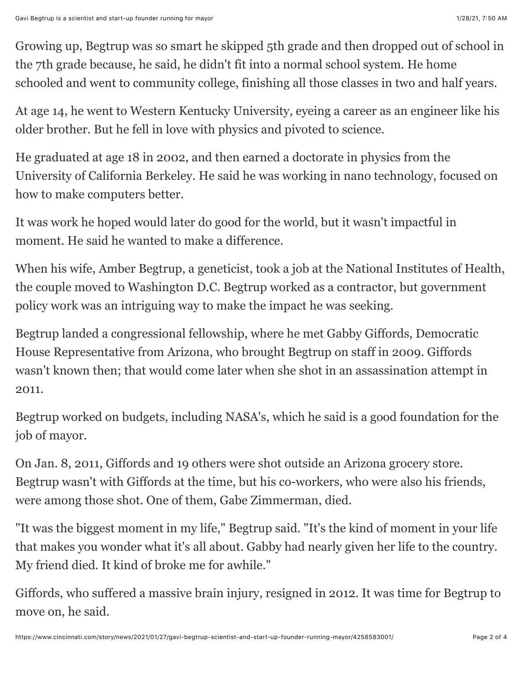Growing up, Begtrup was so smart he skipped 5th grade and then dropped out of school in the 7th grade because, he said, he didn't fit into a normal school system. He home schooled and went to community college, finishing all those classes in two and half years.

At age 14, he went to Western Kentucky University, eyeing a career as an engineer like his older brother. But he fell in love with physics and pivoted to science.

He graduated at age 18 in 2002, and then earned a doctorate in physics from the University of California Berkeley. He said he was working in nano technology, focused on how to make computers better.

It was work he hoped would later do good for the world, but it wasn't impactful in moment. He said he wanted to make a difference.

When his wife, Amber Begtrup, a geneticist, took a job at the National Institutes of Health, the couple moved to Washington D.C. Begtrup worked as a contractor, but government policy work was an intriguing way to make the impact he was seeking.

Begtrup landed a congressional fellowship, where he met Gabby Giffords, Democratic House Representative from Arizona, who brought Begtrup on staff in 2009. Giffords wasn't known then; that would come later when she shot in an assassination attempt in 2011.

Begtrup worked on budgets, including NASA's, which he said is a good foundation for the job of mayor.

On Jan. 8, 2011, Giffords and 19 others were shot outside an Arizona grocery store. Begtrup wasn't with Giffords at the time, but his co-workers, who were also his friends, were among those shot. One of them, Gabe Zimmerman, died.

"It was the biggest moment in my life," Begtrup said. "It's the kind of moment in your life that makes you wonder what it's all about. Gabby had nearly given her life to the country. My friend died. It kind of broke me for awhile."

Giffords, who suffered a massive brain injury, resigned in 2012. It was time for Begtrup to move on, he said.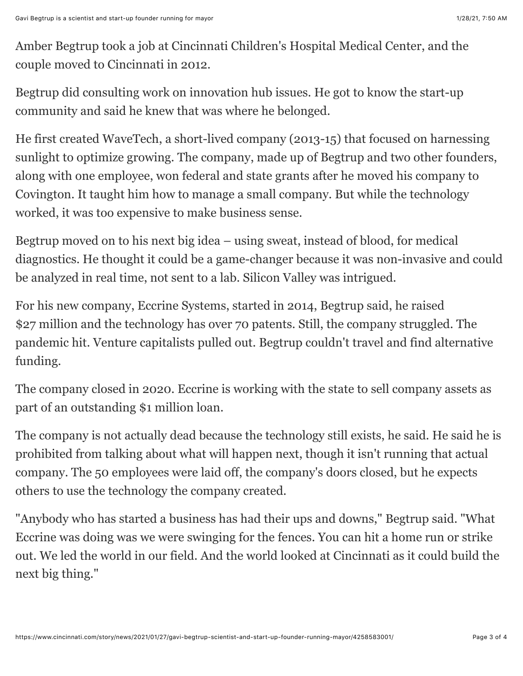Amber Begtrup took a job at Cincinnati Children's Hospital Medical Center, and the couple moved to Cincinnati in 2012.

Begtrup did consulting work on innovation hub issues. He got to know the start-up community and said he knew that was where he belonged.

He first created WaveTech, a short-lived company (2013-15) that focused on harnessing sunlight to optimize growing. The company, made up of Begtrup and two other founders, along with one employee, won federal and state grants after he moved his company to Covington. It taught him how to manage a small company. But while the technology worked, it was too expensive to make business sense.

Begtrup moved on to his next big idea – using sweat, instead of blood, for medical diagnostics. He thought it could be a game-changer because it was non-invasive and could be analyzed in real time, not sent to a lab. Silicon Valley was intrigued.

For his new company, Eccrine Systems, started in 2014, Begtrup said, he raised \$27 million and the technology has over 70 patents. Still, the company struggled. The pandemic hit. Venture capitalists pulled out. Begtrup couldn't travel and find alternative funding.

The company closed in 2020. Eccrine is working with the state to sell company assets as part of an outstanding \$1 million loan.

The company is not actually dead because the technology still exists, he said. He said he is prohibited from talking about what will happen next, though it isn't running that actual company. The 50 employees were laid off, the company's doors closed, but he expects others to use the technology the company created.

"Anybody who has started a business has had their ups and downs," Begtrup said. "What Eccrine was doing was we were swinging for the fences. You can hit a home run or strike out. We led the world in our field. And the world looked at Cincinnati as it could build the next big thing."